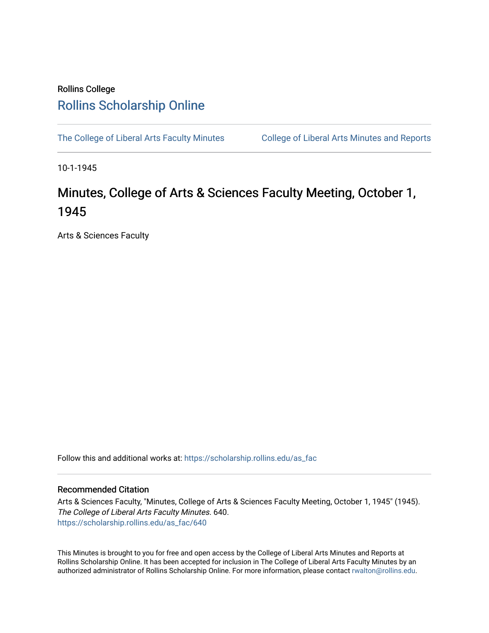## Rollins College [Rollins Scholarship Online](https://scholarship.rollins.edu/)

[The College of Liberal Arts Faculty Minutes](https://scholarship.rollins.edu/as_fac) College of Liberal Arts Minutes and Reports

10-1-1945

## Minutes, College of Arts & Sciences Faculty Meeting, October 1, 1945

Arts & Sciences Faculty

Follow this and additional works at: [https://scholarship.rollins.edu/as\\_fac](https://scholarship.rollins.edu/as_fac?utm_source=scholarship.rollins.edu%2Fas_fac%2F640&utm_medium=PDF&utm_campaign=PDFCoverPages) 

## Recommended Citation

Arts & Sciences Faculty, "Minutes, College of Arts & Sciences Faculty Meeting, October 1, 1945" (1945). The College of Liberal Arts Faculty Minutes. 640. [https://scholarship.rollins.edu/as\\_fac/640](https://scholarship.rollins.edu/as_fac/640?utm_source=scholarship.rollins.edu%2Fas_fac%2F640&utm_medium=PDF&utm_campaign=PDFCoverPages) 

This Minutes is brought to you for free and open access by the College of Liberal Arts Minutes and Reports at Rollins Scholarship Online. It has been accepted for inclusion in The College of Liberal Arts Faculty Minutes by an authorized administrator of Rollins Scholarship Online. For more information, please contact [rwalton@rollins.edu](mailto:rwalton@rollins.edu).